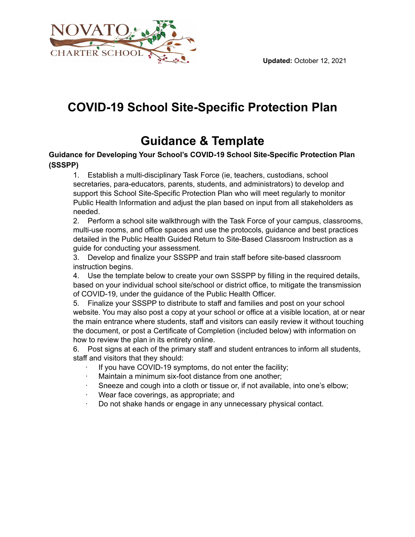

### **COVID-19 School Site-Specific Protection Plan**

## **Guidance & Template**

#### **Guidance for Developing Your School's COVID-19 School Site-Specific Protection Plan (SSSPP)**

1. Establish a multi-disciplinary Task Force (ie, teachers, custodians, school secretaries, para-educators, parents, students, and administrators) to develop and support this School Site-Specific Protection Plan who will meet regularly to monitor Public Health Information and adjust the plan based on input from all stakeholders as needed.

2. Perform a school site walkthrough with the Task Force of your campus, classrooms, multi-use rooms, and office spaces and use the protocols, guidance and best practices detailed in the Public Health Guided Return to Site-Based Classroom Instruction as a guide for conducting your assessment.

3. Develop and finalize your SSSPP and train staff before site-based classroom instruction begins.

4. Use the template below to create your own SSSPP by filling in the required details, based on your individual school site/school or district office, to mitigate the transmission of COVID-19, under the guidance of the Public Health Officer.

5. Finalize your SSSPP to distribute to staff and families and post on your school website. You may also post a copy at your school or office at a visible location, at or near the main entrance where students, staff and visitors can easily review it without touching the document, or post a Certificate of Completion (included below) with information on how to review the plan in its entirety online.

6. Post signs at each of the primary staff and student entrances to inform all students, staff and visitors that they should:

- If you have COVID-19 symptoms, do not enter the facility;
- Maintain a minimum six-foot distance from one another;
- Sneeze and cough into a cloth or tissue or, if not available, into one's elbow;
- Wear face coverings, as appropriate; and
- · Do not shake hands or engage in any unnecessary physical contact.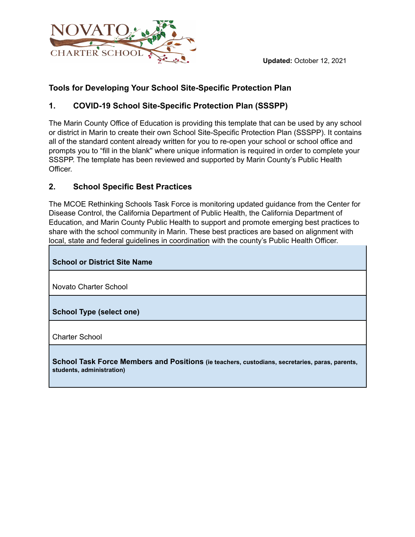

#### **Tools for Developing Your School Site-Specific Protection Plan**

#### **1. COVID-19 School Site-Specific Protection Plan (SSSPP)**

The Marin County Office of Education is providing this template that can be used by any school or district in Marin to create their own School Site-Specific Protection Plan (SSSPP). It contains all of the standard content already written for you to re-open your school or school office and prompts you to "fill in the blank'' where unique information is required in order to complete your SSSPP. The template has been reviewed and supported by Marin County's Public Health Officer.

#### **2. School Specific Best Practices**

The MCOE Rethinking Schools Task Force is monitoring updated guidance from the Center for Disease Control, the California Department of Public Health, the California Department of Education, and Marin County Public Health to support and promote emerging best practices to share with the school community in Marin. These best practices are based on alignment with local, state and federal guidelines in coordination with the county's Public Health Officer.

#### **School or District Site Name**

Novato Charter School

**School Type (select one)**

Charter School

**School Task Force Members and Positions (ie teachers, custodians, secretaries, paras, parents, students, administration)**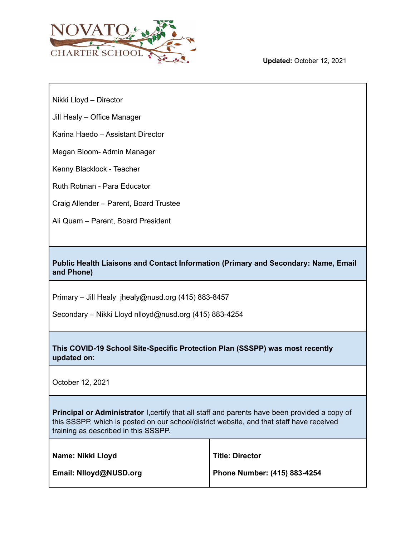

Nikki Lloyd – Director

Jill Healy – Office Manager

Karina Haedo – Assistant Director

Megan Bloom- Admin Manager

Kenny Blacklock - Teacher

Ruth Rotman - Para Educator

Craig Allender – Parent, Board Trustee

Ali Quam – Parent, Board President

**Public Health Liaisons and Contact Information (Primary and Secondary: Name, Email and Phone)**

Primary – Jill Healy jhealy@nusd.org (415) 883-8457

Secondary – Nikki Lloyd nlloyd@nusd.org (415) 883-4254

**This COVID-19 School Site-Specific Protection Plan (SSSPP) was most recently updated on:**

October 12, 2021

**Principal or Administrator** I,certify that all staff and parents have been provided a copy of this SSSPP, which is posted on our school/district website, and that staff have received training as described in this SSSPP.

| Name: Nikki Lloyd      | <b>Title: Director</b>       |
|------------------------|------------------------------|
| Email: Nlloyd@NUSD.org | Phone Number: (415) 883-4254 |

Т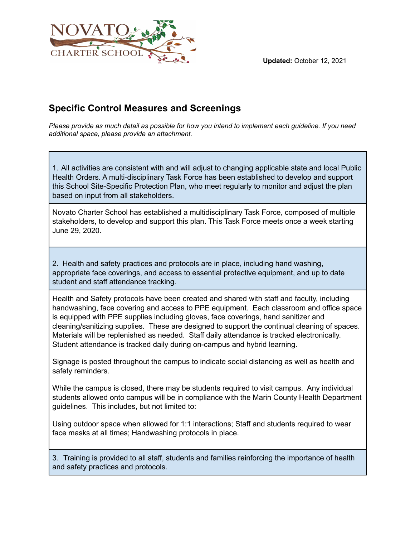

#### **Specific Control Measures and Screenings**

Please provide as much detail as possible for how you intend to implement each guideline. If you need *additional space, please provide an attachment.*

1. All activities are consistent with and will adjust to changing applicable state and local Public Health Orders. A multi-disciplinary Task Force has been established to develop and support this School Site-Specific Protection Plan, who meet regularly to monitor and adjust the plan based on input from all stakeholders.

Novato Charter School has established a multidisciplinary Task Force, composed of multiple stakeholders, to develop and support this plan. This Task Force meets once a week starting June 29, 2020.

2. Health and safety practices and protocols are in place, including hand washing, appropriate face coverings, and access to essential protective equipment, and up to date student and staff attendance tracking.

Health and Safety protocols have been created and shared with staff and faculty, including handwashing, face covering and access to PPE equipment. Each classroom and office space is equipped with PPE supplies including gloves, face coverings, hand sanitizer and cleaning/sanitizing supplies. These are designed to support the continual cleaning of spaces. Materials will be replenished as needed. Staff daily attendance is tracked electronically. Student attendance is tracked daily during on-campus and hybrid learning.

Signage is posted throughout the campus to indicate social distancing as well as health and safety reminders.

While the campus is closed, there may be students required to visit campus. Any individual students allowed onto campus will be in compliance with the Marin County Health Department guidelines. This includes, but not limited to:

Using outdoor space when allowed for 1:1 interactions; Staff and students required to wear face masks at all times; Handwashing protocols in place.

3. Training is provided to all staff, students and families reinforcing the importance of health and safety practices and protocols.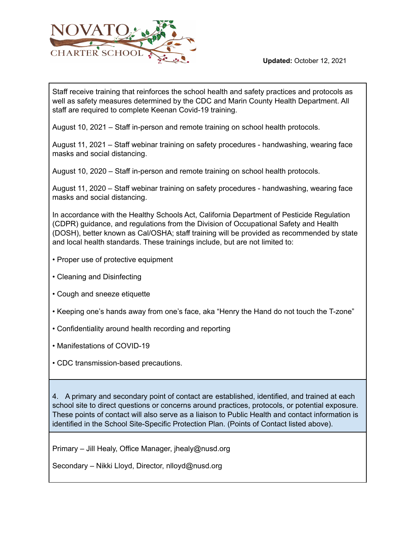

Staff receive training that reinforces the school health and safety practices and protocols as well as safety measures determined by the CDC and Marin County Health Department. All staff are required to complete Keenan Covid-19 training.

August 10, 2021 – Staff in-person and remote training on school health protocols.

August 11, 2021 – Staff webinar training on safety procedures - handwashing, wearing face masks and social distancing.

August 10, 2020 – Staff in-person and remote training on school health protocols.

August 11, 2020 – Staff webinar training on safety procedures - handwashing, wearing face masks and social distancing.

In accordance with the Healthy Schools Act, California Department of Pesticide Regulation (CDPR) guidance, and regulations from the Division of Occupational Safety and Health (DOSH), better known as Cal/OSHA; staff training will be provided as recommended by state and local health standards. These trainings include, but are not limited to:

- Proper use of protective equipment
- Cleaning and Disinfecting
- Cough and sneeze etiquette
- Keeping one's hands away from one's face, aka "Henry the Hand do not touch the T-zone"
- Confidentiality around health recording and reporting
- Manifestations of COVID-19
- CDC transmission-based precautions.

4. A primary and secondary point of contact are established, identified, and trained at each school site to direct questions or concerns around practices, protocols, or potential exposure. These points of contact will also serve as a liaison to Public Health and contact information is identified in the School Site-Specific Protection Plan. (Points of Contact listed above).

Primary – Jill Healy, Office Manager, jhealy@nusd.org

Secondary – Nikki Lloyd, Director, nlloyd@nusd.org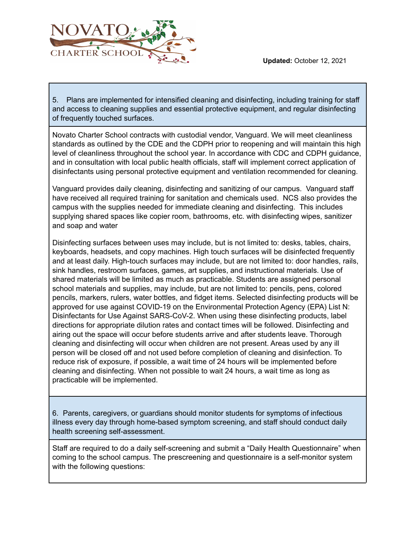



5. Plans are implemented for intensified cleaning and disinfecting, including training for staff and access to cleaning supplies and essential protective equipment, and regular disinfecting of frequently touched surfaces.

Novato Charter School contracts with custodial vendor, Vanguard. We will meet cleanliness standards as outlined by the CDE and the CDPH prior to reopening and will maintain this high level of cleanliness throughout the school year. In accordance with CDC and CDPH guidance, and in consultation with local public health officials, staff will implement correct application of disinfectants using personal protective equipment and ventilation recommended for cleaning.

Vanguard provides daily cleaning, disinfecting and sanitizing of our campus. Vanguard staff have received all required training for sanitation and chemicals used. NCS also provides the campus with the supplies needed for immediate cleaning and disinfecting. This includes supplying shared spaces like copier room, bathrooms, etc. with disinfecting wipes, sanitizer and soap and water

Disinfecting surfaces between uses may include, but is not limited to: desks, tables, chairs, keyboards, headsets, and copy machines. High touch surfaces will be disinfected frequently and at least daily. High-touch surfaces may include, but are not limited to: door handles, rails, sink handles, restroom surfaces, games, art supplies, and instructional materials. Use of shared materials will be limited as much as practicable. Students are assigned personal school materials and supplies, may include, but are not limited to: pencils, pens, colored pencils, markers, rulers, water bottles, and fidget items. Selected disinfecting products will be approved for use against COVID-19 on the Environmental Protection Agency (EPA) List N: Disinfectants for Use Against SARS-CoV-2. When using these disinfecting products, label directions for appropriate dilution rates and contact times will be followed. Disinfecting and airing out the space will occur before students arrive and after students leave. Thorough cleaning and disinfecting will occur when children are not present. Areas used by any ill person will be closed off and not used before completion of cleaning and disinfection. To reduce risk of exposure, if possible, a wait time of 24 hours will be implemented before cleaning and disinfecting. When not possible to wait 24 hours, a wait time as long as practicable will be implemented.

6. Parents, caregivers, or guardians should monitor students for symptoms of infectious illness every day through home-based symptom screening, and staff should conduct daily health screening self-assessment.

Staff are required to do a daily self-screening and submit a "Daily Health Questionnaire" when coming to the school campus. The prescreening and questionnaire is a self-monitor system with the following questions: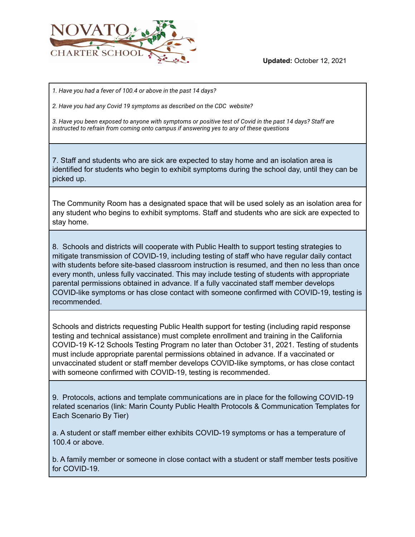

*1. Have you had a fever of 100.4 or above in the past 14 days?*

*2. Have you had any Covid 19 symptoms as described on the CDC website?*

*3. Have you been exposed to anyone with symptoms or positive test of Covid in the past 14 days? Staff are instructed to refrain from coming onto campus if answering yes to any of these questions*

7. Staff and students who are sick are expected to stay home and an isolation area is identified for students who begin to exhibit symptoms during the school day, until they can be picked up.

The Community Room has a designated space that will be used solely as an isolation area for any student who begins to exhibit symptoms. Staff and students who are sick are expected to stay home.

8. Schools and districts will cooperate with Public Health to support testing strategies to mitigate transmission of COVID-19, including testing of staff who have regular daily contact with students before site-based classroom instruction is resumed, and then no less than once every month, unless fully vaccinated. This may include testing of students with appropriate parental permissions obtained in advance. If a fully vaccinated staff member develops COVID-like symptoms or has close contact with someone confirmed with COVID-19, testing is recommended.

Schools and districts requesting Public Health support for testing (including rapid response testing and technical assistance) must complete enrollment and training in the California COVID-19 K-12 Schools Testing Program no later than October 31, 2021. Testing of students must include appropriate parental permissions obtained in advance. If a vaccinated or unvaccinated student or staff member develops COVID-like symptoms, or has close contact with someone confirmed with COVID-19, testing is recommended.

9. Protocols, actions and template communications are in place for the following COVID-19 related scenarios (link: Marin County Public Health Protocols & Communication Templates for Each Scenario By Tier)

a. A student or staff member either exhibits COVID-19 symptoms or has a temperature of 100.4 or above.

b. A family member or someone in close contact with a student or staff member tests positive for COVID-19.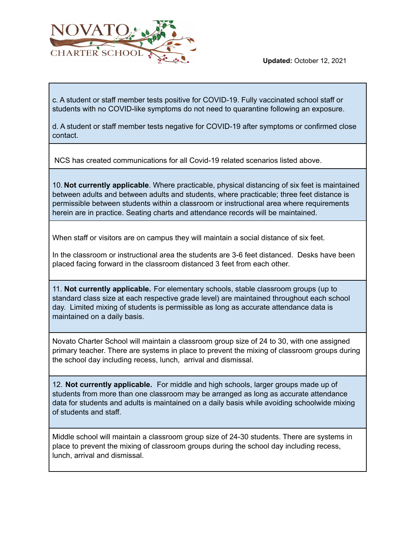



c. A student or staff member tests positive for COVID-19. Fully vaccinated school staff or students with no COVID-like symptoms do not need to quarantine following an exposure.

d. A student or staff member tests negative for COVID-19 after symptoms or confirmed close contact.

NCS has created communications for all Covid-19 related scenarios listed above.

10. **Not currently applicable**. Where practicable, physical distancing of six feet is maintained between adults and between adults and students, where practicable; three feet distance is permissible between students within a classroom or instructional area where requirements herein are in practice. Seating charts and attendance records will be maintained.

When staff or visitors are on campus they will maintain a social distance of six feet.

In the classroom or instructional area the students are 3-6 feet distanced. Desks have been placed facing forward in the classroom distanced 3 feet from each other.

11. **Not currently applicable.** For elementary schools, stable classroom groups (up to standard class size at each respective grade level) are maintained throughout each school day. Limited mixing of students is permissible as long as accurate attendance data is maintained on a daily basis.

Novato Charter School will maintain a classroom group size of 24 to 30, with one assigned primary teacher. There are systems in place to prevent the mixing of classroom groups during the school day including recess, lunch, arrival and dismissal.

12. **Not currently applicable.** For middle and high schools, larger groups made up of students from more than one classroom may be arranged as long as accurate attendance data for students and adults is maintained on a daily basis while avoiding schoolwide mixing of students and staff.

Middle school will maintain a classroom group size of 24-30 students. There are systems in place to prevent the mixing of classroom groups during the school day including recess, lunch, arrival and dismissal.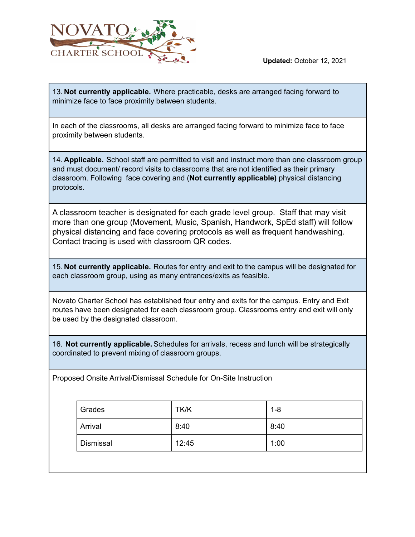

13. **Not currently applicable.** Where practicable, desks are arranged facing forward to minimize face to face proximity between students.

In each of the classrooms, all desks are arranged facing forward to minimize face to face proximity between students.

14. **Applicable.** School staff are permitted to visit and instruct more than one classroom group and must document/ record visits to classrooms that are not identified as their primary classroom. Following face covering and (**Not currently applicable)** physical distancing protocols.

A classroom teacher is designated for each grade level group. Staff that may visit more than one group (Movement, Music, Spanish, Handwork, SpEd staff) will follow physical distancing and face covering protocols as well as frequent handwashing. Contact tracing is used with classroom QR codes.

15. **Not currently applicable.** Routes for entry and exit to the campus will be designated for each classroom group, using as many entrances/exits as feasible.

Novato Charter School has established four entry and exits for the campus. Entry and Exit routes have been designated for each classroom group. Classrooms entry and exit will only be used by the designated classroom.

16. **Not currently applicable.** Schedules for arrivals, recess and lunch will be strategically coordinated to prevent mixing of classroom groups.

Proposed Onsite Arrival/Dismissal Schedule for On-Site Instruction

| Grades    | TK/K  | $1 - 8$ |
|-----------|-------|---------|
| Arrival   | 8:40  | 8:40    |
| Dismissal | 12:45 | 1:00    |
|           |       |         |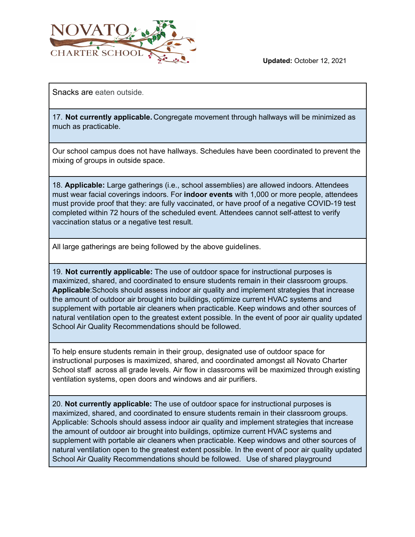

Snacks are eaten outside.

17. **Not currently applicable.** Congregate movement through hallways will be minimized as much as practicable.

Our school campus does not have hallways. Schedules have been coordinated to prevent the mixing of groups in outside space.

18. **Applicable:** Large gatherings (i.e., school assemblies) are allowed indoors. Attendees must wear facial coverings indoors. For **indoor events** with 1,000 or more people, attendees must provide proof that they: are fully vaccinated, or have proof of a negative COVID-19 test completed within 72 hours of the scheduled event. Attendees cannot self-attest to verify vaccination status or a negative test result.

All large gatherings are being followed by the above guidelines.

19. **Not currently applicable:** The use of outdoor space for instructional purposes is maximized, shared, and coordinated to ensure students remain in their classroom groups. **Applicable**:Schools should assess indoor air quality and implement strategies that increase the amount of outdoor air brought into buildings, optimize current HVAC systems and supplement with portable air cleaners when practicable. Keep windows and other sources of natural ventilation open to the greatest extent possible. In the event of poor air quality updated School Air Quality Recommendations should be followed.

To help ensure students remain in their group, designated use of outdoor space for instructional purposes is maximized, shared, and coordinated amongst all Novato Charter School staff across all grade levels. Air flow in classrooms will be maximized through existing ventilation systems, open doors and windows and air purifiers.

20. **Not currently applicable:** The use of outdoor space for instructional purposes is maximized, shared, and coordinated to ensure students remain in their classroom groups. Applicable: Schools should assess indoor air quality and implement strategies that increase the amount of outdoor air brought into buildings, optimize current HVAC systems and supplement with portable air cleaners when practicable. Keep windows and other sources of natural ventilation open to the greatest extent possible. In the event of poor air quality updated School Air Quality Recommendations should be followed. Use of shared playground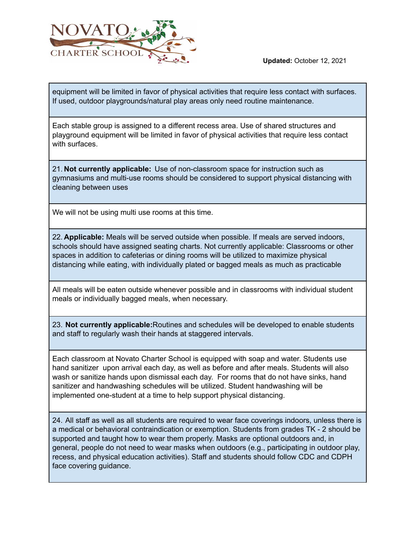

equipment will be limited in favor of physical activities that require less contact with surfaces. If used, outdoor playgrounds/natural play areas only need routine maintenance.

Each stable group is assigned to a different recess area. Use of shared structures and playground equipment will be limited in favor of physical activities that require less contact with surfaces.

21. **Not currently applicable:** Use of non-classroom space for instruction such as gymnasiums and multi-use rooms should be considered to support physical distancing with cleaning between uses

We will not be using multi use rooms at this time.

22. **Applicable:** Meals will be served outside when possible. If meals are served indoors, schools should have assigned seating charts. Not currently applicable: Classrooms or other spaces in addition to cafeterias or dining rooms will be utilized to maximize physical distancing while eating, with individually plated or bagged meals as much as practicable

All meals will be eaten outside whenever possible and in classrooms with individual student meals or individually bagged meals, when necessary.

23. **Not currently applicable:**Routines and schedules will be developed to enable students and staff to regularly wash their hands at staggered intervals.

Each classroom at Novato Charter School is equipped with soap and water. Students use hand sanitizer upon arrival each day, as well as before and after meals. Students will also wash or sanitize hands upon dismissal each day. For rooms that do not have sinks, hand sanitizer and handwashing schedules will be utilized. Student handwashing will be implemented one-student at a time to help support physical distancing.

24. All staff as well as all students are required to wear face coverings indoors, unless there is a medical or behavioral contraindication or exemption. Students from grades TK - 2 should be supported and taught how to wear them properly. Masks are optional outdoors and, in general, people do not need to wear masks when outdoors (e.g., participating in outdoor play, recess, and physical education activities). Staff and students should follow CDC and CDPH face covering guidance.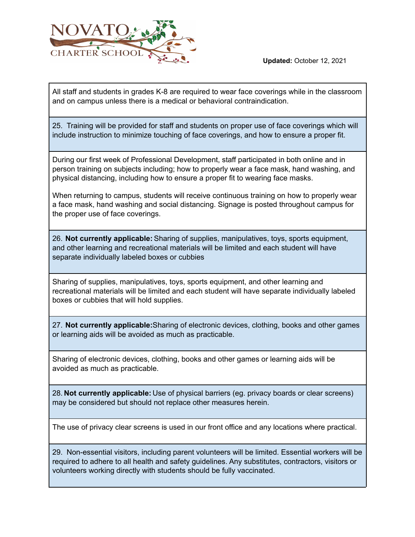

All staff and students in grades K-8 are required to wear face coverings while in the classroom and on campus unless there is a medical or behavioral contraindication.

25. Training will be provided for staff and students on proper use of face coverings which will include instruction to minimize touching of face coverings, and how to ensure a proper fit.

During our first week of Professional Development, staff participated in both online and in person training on subjects including; how to properly wear a face mask, hand washing, and physical distancing, including how to ensure a proper fit to wearing face masks.

When returning to campus, students will receive continuous training on how to properly wear a face mask, hand washing and social distancing. Signage is posted throughout campus for the proper use of face coverings.

26. **Not currently applicable:** Sharing of supplies, manipulatives, toys, sports equipment, and other learning and recreational materials will be limited and each student will have separate individually labeled boxes or cubbies

Sharing of supplies, manipulatives, toys, sports equipment, and other learning and recreational materials will be limited and each student will have separate individually labeled boxes or cubbies that will hold supplies.

27. **Not currently applicable:**Sharing of electronic devices, clothing, books and other games or learning aids will be avoided as much as practicable.

Sharing of electronic devices, clothing, books and other games or learning aids will be avoided as much as practicable.

28. **Not currently applicable:** Use of physical barriers (eg. privacy boards or clear screens) may be considered but should not replace other measures herein.

The use of privacy clear screens is used in our front office and any locations where practical.

29. Non-essential visitors, including parent volunteers will be limited. Essential workers will be required to adhere to all health and safety guidelines. Any substitutes, contractors, visitors or volunteers working directly with students should be fully vaccinated.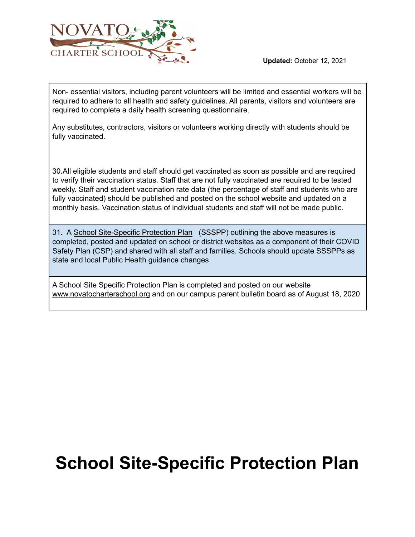

Non- essential visitors, including parent volunteers will be limited and essential workers will be required to adhere to all health and safety guidelines. All parents, visitors and volunteers are required to complete a daily health screening questionnaire.

Any substitutes, contractors, visitors or volunteers working directly with students should be fully vaccinated.

30.All eligible students and staff should get vaccinated as soon as possible and are required to verify their vaccination status. Staff that are not fully vaccinated are required to be tested weekly. Staff and student vaccination rate data (the percentage of staff and students who are fully vaccinated) should be published and posted on the school website and updated on a monthly basis. Vaccination status of individual students and staff will not be made public.

31. A School [Site-Specific](https://drive.google.com/file/d/11dT9HnY568M1fgCAXerOL1bzmvrC9YSs/view) Protection Plan (SSSPP) outlining the above measures is completed, posted and updated on school or district websites as a component of their COVID Safety Plan (CSP) and shared with all staff and families. Schools should update SSSPPs as state and local Public Health guidance changes.

A School Site Specific Protection Plan is completed and posted on our website [www.novatocharterschool.org](http://www.nusd.org/) and on our campus parent bulletin board as of August 18, 2020

# **School Site-Specific Protection Plan**